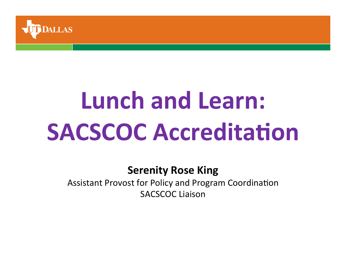

# **Lunch and Learn: SACSCOC** Accreditation

#### **Serenity Rose King**

Assistant Provost for Policy and Program Coordination **SACSCOC Liaison**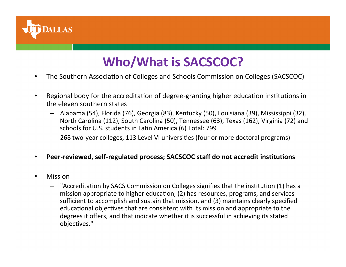

#### **Who/What is SACSCOC?**

- The Southern Association of Colleges and Schools Commission on Colleges (SACSCOC)
- Regional body for the accreditation of degree-granting higher education institutions in the eleven southern states
	- Alabama (54), Florida (76), Georgia (83), Kentucky (50), Louisiana (39), Mississippi (32), North Carolina (112), South Carolina (50), Tennessee (63), Texas (162), Virginia (72) and schools for U.S. students in Latin America (6) Total: 799
	- $-$  268 two-year colleges, 113 Level VI universities (four or more doctoral programs)

#### • Peer-reviewed, self-regulated process; SACSCOC staff do not accredit institutions

- Mission
	- <sup>-</sup> "Accreditation by SACS Commission on Colleges signifies that the institution (1) has a mission appropriate to higher education, (2) has resources, programs, and services sufficient to accomplish and sustain that mission, and (3) maintains clearly specified educational objectives that are consistent with its mission and appropriate to the degrees it offers, and that indicate whether it is successful in achieving its stated objectives."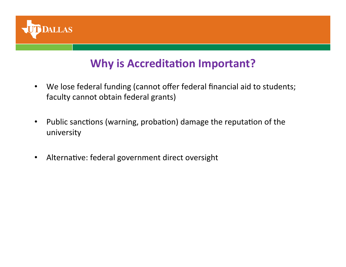

#### **Why is Accreditation Important?**

- We lose federal funding (cannot offer federal financial aid to students; faculty cannot obtain federal grants)
- Public sanctions (warning, probation) damage the reputation of the university
- Alternative: federal government direct oversight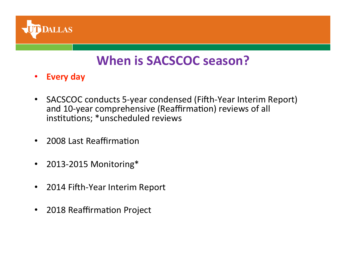

#### **When is SACSCOC season?**

- **Every day**
- SACSCOC conducts 5-year condensed (Fifth-Year Interim Report) and 10-year comprehensive (Reaffirmation) reviews of all institutions; \*unscheduled reviews
- 2008 Last Reaffirmation
- 2013-2015 Monitoring\*
- 2014 Fifth-Year Interim Report
- 2018 Reaffirmation Project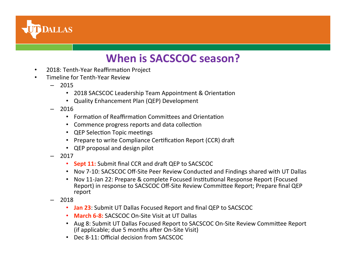

#### **When is SACSCOC season?**

- 2018: Tenth-Year Reaffirmation Project
- Timeline for Tenth-Year Review
	- 2015
		- 2018 SACSCOC Leadership Team Appointment & Orientation
		- Quality Enhancement Plan (QEP) Development
	- $-2016$ 
		- Formation of Reaffirmation Committees and Orientation
		- Commence progress reports and data collection
		- QEP Selection Topic meetings
		- Prepare to write Compliance Certification Report (CCR) draft
		- QEP proposal and design pilot
	- 2017
		- **Sept 11:** Submit final CCR and draft QEP to SACSCOC
		- Nov 7-10: SACSCOC Off-Site Peer Review Conducted and Findings shared with UT Dallas
		- Nov 11-Jan 22: Prepare & complete Focused Institutional Response Report (Focused Report) in response to SACSCOC Off-Site Review Committee Report; Prepare final QEP report
	- 2018
		- **Jan 23**: Submit UT Dallas Focused Report and final QEP to SACSCOC
		- March 6-8: SACSCOC On-Site Visit at UT Dallas
		- Aug 8: Submit UT Dallas Focused Report to SACSCOC On-Site Review Committee Report (if applicable; due 5 months after  $On$ -Site Visit)
		- Dec 8-11: Official decision from SACSCOC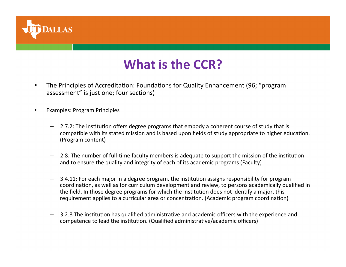

#### **What is the CCR?**

- The Principles of Accreditation: Foundations for Quality Enhancement (96; "program assessment" is just one; four sections)
- Examples: Program Principles
	- $-$  2.7.2: The institution offers degree programs that embody a coherent course of study that is compatible with its stated mission and is based upon fields of study appropriate to higher education. (Program content)
	- 2.8: The number of full-time faculty members is adequate to support the mission of the institution and to ensure the quality and integrity of each of its academic programs (Faculty)
	- 3.4.11: For each major in a degree program, the institution assigns responsibility for program coordination, as well as for curriculum development and review, to persons academically qualified in the field. In those degree programs for which the institution does not identify a major, this requirement applies to a curricular area or concentration. (Academic program coordination)
	- 3.2.8 The institution has qualified administrative and academic officers with the experience and competence to lead the institution. (Qualified administrative/academic officers)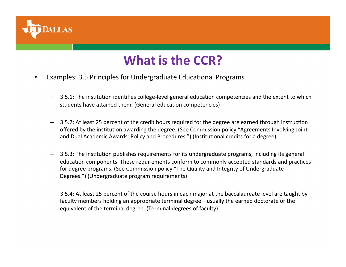

### **What is the CCR?**

- Examples: 3.5 Principles for Undergraduate Educational Programs
	- 3.5.1: The institution identifies college-level general education competencies and the extent to which students have attained them. (General education competencies)
	- 3.5.2: At least 25 percent of the credit hours required for the degree are earned through instruction offered by the institution awarding the degree. (See Commission policy "Agreements Involving Joint and Dual Academic Awards: Policy and Procedures.") (Institutional credits for a degree)
	- $-$  3.5.3: The institution publishes requirements for its undergraduate programs, including its general education components. These requirements conform to commonly accepted standards and practices for degree programs. (See Commission policy "The Quality and Integrity of Undergraduate Degrees.") (Undergraduate program requirements)
	- 3.5.4: At least 25 percent of the course hours in each major at the baccalaureate level are taught by faculty members holding an appropriate terminal degree—usually the earned doctorate or the equivalent of the terminal degree. (Terminal degrees of faculty)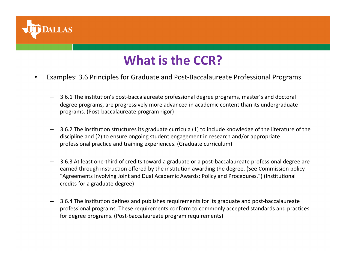

### **What is the CCR?**

- Examples: 3.6 Principles for Graduate and Post-Baccalaureate Professional Programs
	- 3.6.1 The institution's post-baccalaureate professional degree programs, master's and doctoral degree programs, are progressively more advanced in academic content than its undergraduate programs. (Post-baccalaureate program rigor)
	- 3.6.2 The institution structures its graduate curricula (1) to include knowledge of the literature of the discipline and (2) to ensure ongoing student engagement in research and/or appropriate professional practice and training experiences. (Graduate curriculum)
	- 3.6.3 At least one-third of credits toward a graduate or a post-baccalaureate professional degree are earned through instruction offered by the institution awarding the degree. (See Commission policy "Agreements Involving Joint and Dual Academic Awards: Policy and Procedures.") (Institutional credits for a graduate degree)
	- 3.6.4 The institution defines and publishes requirements for its graduate and post-baccalaureate professional programs. These requirements conform to commonly accepted standards and practices for degree programs. (Post-baccalaureate program requirements)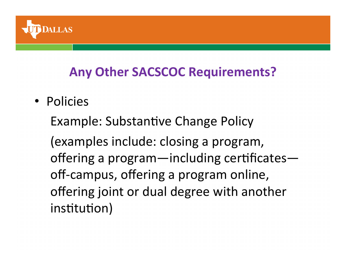

### **Any Other SACSCOC Requirements?**

• Policies 

Example: Substantive Change Policy

(examples include: closing a program, offering a program—including certificates off-campus, offering a program online, offering joint or dual degree with another institution)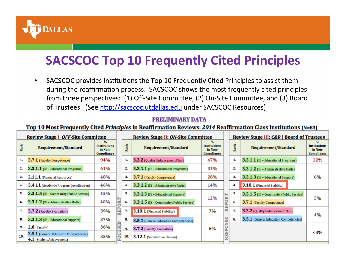

### **SACSCOC Top 10 Frequently Cited Principles**

• SACSCOC provides institutions the Top 10 Frequently Cited Principles to assist them during the reaffirmation process. SACSCOC shows the most frequently cited principles from three perspectives: (1) Off-Site Committee, (2) On-Site Committee, and (3) Board of Trustees. (See http://sacscoc.utdallas.edu under SACSCOC Resources)

#### **PRELIMINARY DATA**

#### Top 10 Most Frequently Cited Principles in Reaffirmation Reviews: 2014 Reaffirmation Class Institutions (N=83)

| <b>Review Stage I: OFF-Site Committee</b> |                                                                            |                                                             |   | <b>Review Stage II: ON-Site Committee</b> |                                         |                                              |            | <b>Review Stage III: C&amp;R   Board of Trustees</b> |                                           |                                              |
|-------------------------------------------|----------------------------------------------------------------------------|-------------------------------------------------------------|---|-------------------------------------------|-----------------------------------------|----------------------------------------------|------------|------------------------------------------------------|-------------------------------------------|----------------------------------------------|
|                                           | <b>Requirement/Standard</b>                                                | $\%$<br><b>Institutions</b><br>in Non-<br><b>Compliance</b> |   | Rank                                      | <b>Requirement/Standard</b>             | <b>Institutions</b><br>in Non-<br>Compliance |            | Rank                                                 | <b>Requirement/Standard</b>               | <b>Institutions</b><br>in Non-<br>Compliance |
| 1.                                        | <b>3.7.1</b> (Faculty Competence)                                          | 94%                                                         |   | 1.                                        | 3.3.2 (Quality Enhancement Plan)        | 47%                                          |            | 1.                                                   | 3.3.1.1 (IE - Educational Programs)       | 12%                                          |
| 2.                                        | <b>3.3.1.1</b> (IE - Educational Programs)                                 | 61%                                                         |   | 2.                                        | 3.3.1.1 (IE - Educational Programs)     | 31%                                          |            | 2.                                                   | 3.3.1.2 (IE - Administrative Units)       |                                              |
| 3.                                        | <b>2.11.1</b> (Financial Resources)                                        | 48%                                                         |   | 3.                                        | <b>3.7.1</b> (Faculty Competence)       | 28%                                          |            | 3.                                                   | <b>3.3.1.3</b> (IE - Educational Support) | 6%                                           |
| 4.                                        | 3.4.11 (Academic Program Coordination)                                     | 46%                                                         |   | 4.                                        | 3.3.1.2 (IE - Administrative Units)     | 14%                                          |            | 4.                                                   | 3.10.1 (Financial Stability)              |                                              |
| 5.                                        | $3.3.1.5$ (IE - Community/Public Service)                                  | 45%                                                         |   | 5.                                        | 3.3.1.3 (IE - Educational Support)      | 12%                                          | <b>ORT</b> | 5.                                                   | 3.3.1.5 (IE - Community/Public Service)   |                                              |
| 6.                                        | $3.3.1.2$ (IE - Administrative Units)                                      | 40%                                                         |   | 6.                                        | 3.3.1.5 (IE - Community/Public Service) |                                              |            | 6.                                                   | 3.7.1 (Faculty Competence)                | 5%                                           |
| 7.                                        | 3.7.2 (Faculty Evaluation)                                                 | 39%                                                         | Ξ | 7.                                        | 3.10.1 (Financial Stability)            | 7%                                           | RE         | 7.                                                   | 3.3.2 (Quality Enhancement Plan)          | 4%                                           |
| 8.                                        | <b>3.3.1.3</b> (IE - Educational Support)                                  | 37%                                                         |   | 8.                                        | 3.5.1 (General Education Competencies)  |                                              | 띉          | 8.                                                   | 3.5.1 (General Education Competencies)    |                                              |
| 9.                                        | $2.8$ (Faculty)                                                            | 36%                                                         |   | 9.                                        | 3.7.2 (Faculty Evaluation)              | 6%                                           | PON        |                                                      |                                           |                                              |
| 10.                                       | <b>3.5.1</b> (General Education Competencies)<br>4.1 (Student Achievement) | 35%                                                         |   | 10.                                       | 3.12.1 (Substantive Change)             |                                              |            |                                                      |                                           | $3%$                                         |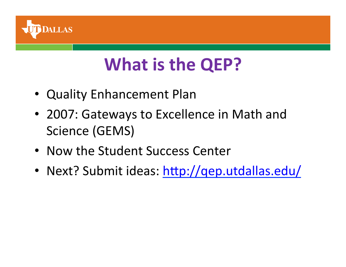

# **What is the QEP?**

- Quality Enhancement Plan
- 2007: Gateways to Excellence in Math and Science (GEMS)
- Now the Student Success Center
- Next? Submit ideas: http://qep.utdallas.edu/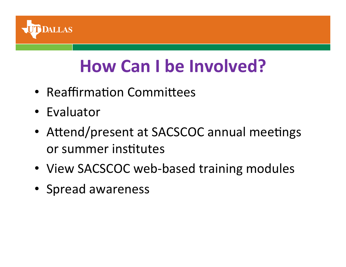

# **How Can I be Involved?**

- Reaffirmation Committees
- Evaluator
- Attend/present at SACSCOC annual meetings or summer institutes
- View SACSCOC web-based training modules
- Spread awareness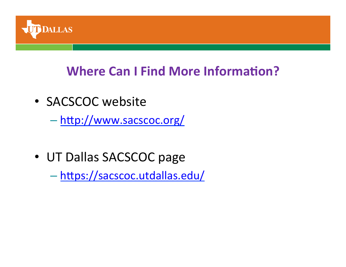

### **Where Can I Find More Information?**

• SACSCOC website

– hhp://www.sacscoc.org/

• UT Dallas SACSCOC page

– hhps://sacscoc.utdallas.edu/